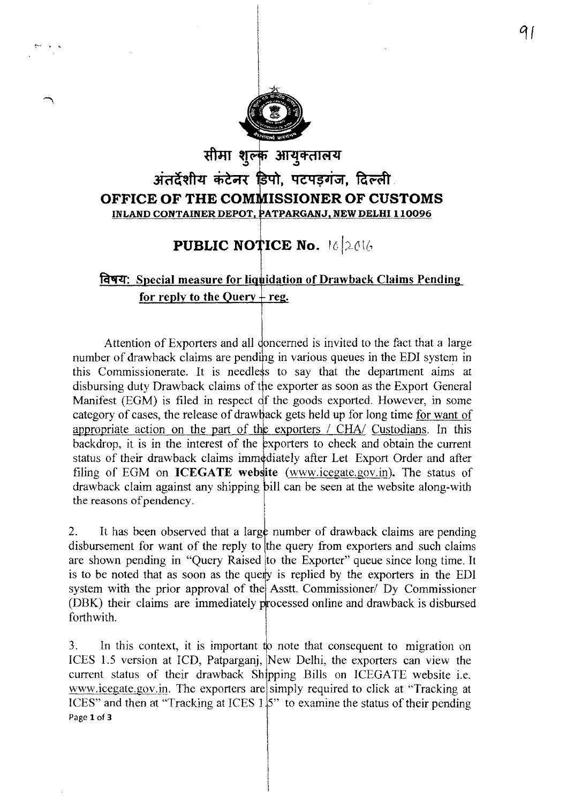

## सीमा शुल्क आयुक्तालय अंतर्दशीय कंटेनर डिपो, पटपडगंज, दिल्ली OFFICE OF THE COMMISSIONER OF CUSTOMS INLAND CONTAINER DEPOT, PATPARGANJ, NEW DELHI 110096

## **PUBLIC NOTICE No.** 16 2016

## विषय: Special measure for liquidation of Drawback Claims Pending for reply to the Query  $+$  reg.

Attention of Exporters and all doncerned is invited to the fact that a large number of drawback claims are pending in various queues in the EDI system in this Commissionerate. It is needless to say that the department aims at disbursing duty Drawback claims of the exporter as soon as the Export General Manifest (EGM) is filed in respect of the goods exported. However, in some category of cases, the release of drawback gets held up for long time for want of appropriate action on the part of the exporters / CHA/ Custodians. In this backdrop, it is in the interest of the exporters to check and obtain the current status of their drawback claims immediately after Let Export Order and after filing of EGM on **ICEGATE** website (www.icegate.gov.in). The status of drawback claim against any shipping bill can be seen at the website along-with the reasons of pendency.

It has been observed that a large number of drawback claims are pending  $\overline{2}$ . disbursement for want of the reply to the query from exporters and such claims are shown pending in "Query Raised to the Exporter" queue since long time. It is to be noted that as soon as the query is replied by the exporters in the EDI system with the prior approval of the Asstt. Commissioner/ Dy Commissioner (DBK) their claims are immediately processed online and drawback is disbursed forthwith.

 $\overline{3}$ . In this context, it is important to note that consequent to migration on ICES 1.5 version at ICD, Patparganj, New Delhi, the exporters can view the current status of their drawback Shipping Bills on ICEGATE website i.e. www.icegate.gov.in. The exporters are simply required to click at "Tracking at ICES" and then at "Tracking at ICES  $1.5$ " to examine the status of their pending Page 1 of 3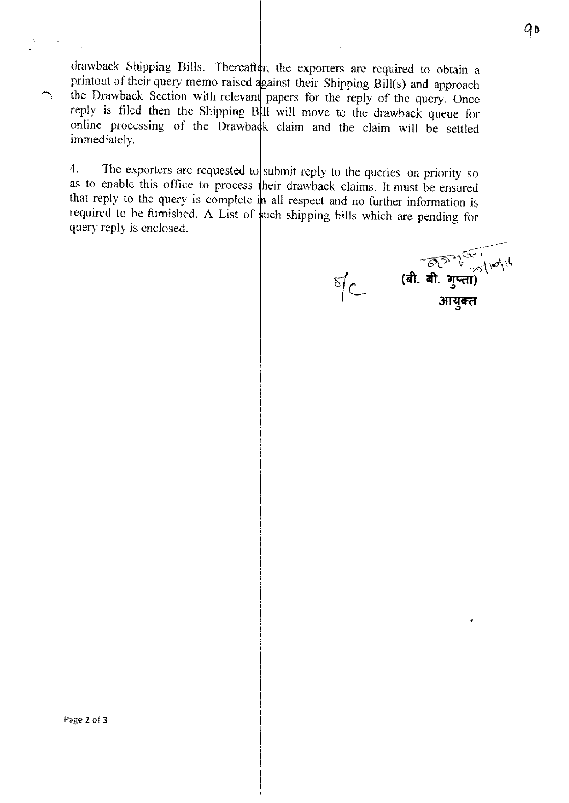drawback Shipping Bills. Thereafter, the exporters are required to obtain a printout of their query memo raised against their Shipping Bill(s) and approach the Drawback Section with relevant papers for the reply of the query. Once reply is filed then the Shipping B 11 will move to the drawback queue for online processing of the Drawback claim and the claim will be settled immediately.

4. The exporters are requested to submit reply to the queries on priority so as to enable this office to process heir drawback claims. It must be ensured that reply to the query is complete in all respect and no further information is required to be furnished. A List of such shipping bills which are pending for query reply is enclosed.

**(बी. बी. गुप्ता)**<br>(बी. बी. गुप्ता)<br>आयुक्त  $\sqrt[5]{C}$